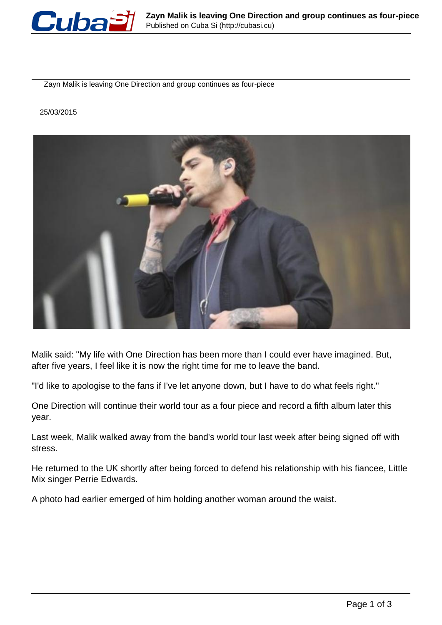

Zayn Malik is leaving One Direction and group continues as four-piece

## 25/03/2015



Malik said: "My life with One Direction has been more than I could ever have imagined. But, after five years, I feel like it is now the right time for me to leave the band.

"I'd like to apologise to the fans if I've let anyone down, but I have to do what feels right."

One Direction will continue their world tour as a four piece and record a fifth album later this year.

Last week, Malik walked away from the band's world tour last week after being signed off with stress.

He returned to the UK shortly after being forced to defend his relationship with his fiancee, Little Mix singer Perrie Edwards.

A photo had earlier emerged of him holding another woman around the waist.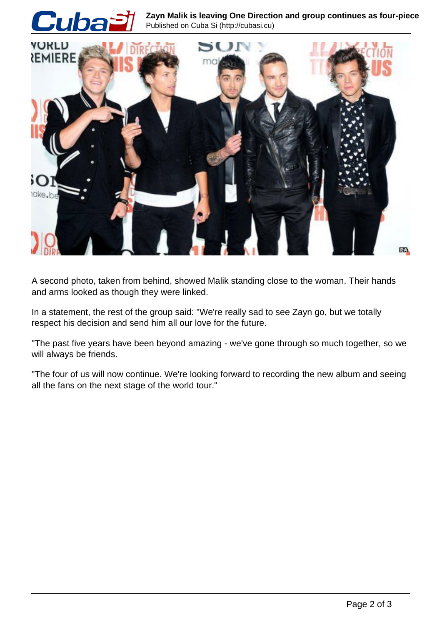

A second photo, taken from behind, showed Malik standing close to the woman. Their hands and arms looked as though they were linked.

In a statement, the rest of the group said: "We're really sad to see Zayn go, but we totally respect his decision and send him all our love for the future.

"The past five years have been beyond amazing - we've gone through so much together, so we will always be friends.

"The four of us will now continue. We're looking forward to recording the new album and seeing all the fans on the next stage of the world tour."